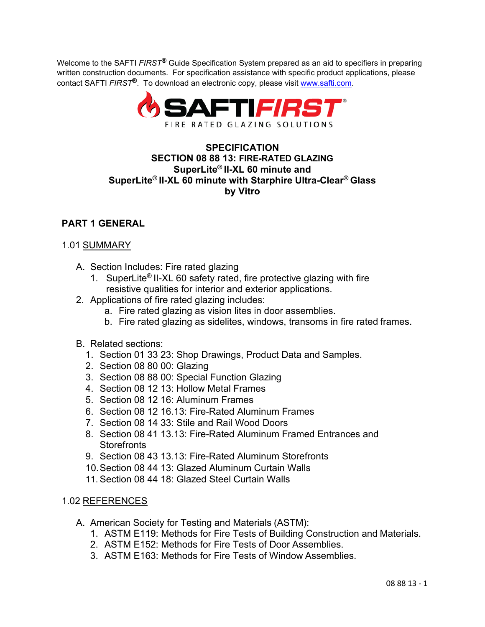Welcome to the SAFTI *FIRST***®** Guide Specification System prepared as an aid to specifiers in preparing written construction documents. For specification assistance with specific product applications, please contact SAFTI *FIRST***®**. To download an electronic copy, please visit [www.safti.com.](http://www.safti.com/)



## **SPECIFICATION SECTION 08 88 13: FIRE-RATED GLAZING SuperLite® II-XL 60 minute and SuperLite® II-XL 60 minute with Starphire Ultra-Clear® Glass by Vitro**

# **PART 1 GENERAL**

### 1.01 SUMMARY

- A. Section Includes: Fire rated glazing
	- 1. SuperLite® II-XL 60 safety rated, fire protective glazing with fire resistive qualities for interior and exterior applications.
- 2. Applications of fire rated glazing includes:
	- a. Fire rated glazing as vision lites in door assemblies.
	- b. Fire rated glazing as sidelites, windows, transoms in fire rated frames.
- B. Related sections:
	- 1. Section 01 33 23: Shop Drawings, Product Data and Samples.
	- 2. Section 08 80 00: Glazing
	- 3. Section 08 88 00: Special Function Glazing
	- 4. Section 08 12 13: Hollow Metal Frames
	- 5. Section 08 12 16: Aluminum Frames
	- 6. Section 08 12 16.13: Fire-Rated Aluminum Frames
	- 7. Section 08 14 33: Stile and Rail Wood Doors
	- 8. Section 08 41 13.13: Fire-Rated Aluminum Framed Entrances and **Storefronts**
	- 9. Section 08 43 13.13: Fire-Rated Aluminum Storefronts
	- 10.Section 08 44 13: Glazed Aluminum Curtain Walls
	- 11. Section 08 44 18: Glazed Steel Curtain Walls

### 1.02 REFERENCES

- A. American Society for Testing and Materials (ASTM):
	- 1. ASTM E119: Methods for Fire Tests of Building Construction and Materials.
	- 2. ASTM E152: Methods for Fire Tests of Door Assemblies.
	- 3. ASTM E163: Methods for Fire Tests of Window Assemblies.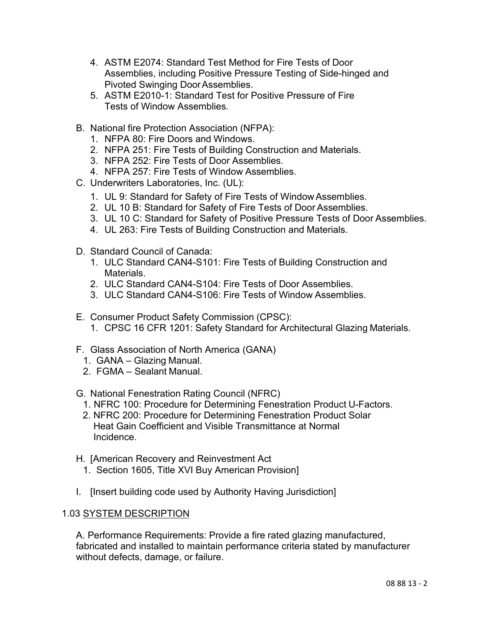- 4. ASTM E2074: Standard Test Method for Fire Tests of Door Assemblies, including Positive Pressure Testing of Side-hinged and Pivoted Swinging DoorAssemblies.
- 5. ASTM E2010-1: Standard Test for Positive Pressure of Fire Tests of Window Assemblies.
- B. National fire Protection Association (NFPA):
	- 1. NFPA 80: Fire Doors and Windows.
	- 2. NFPA 251: Fire Tests of Building Construction and Materials.
	- 3. NFPA 252: Fire Tests of Door Assemblies.
	- 4. NFPA 257: Fire Tests of Window Assemblies.
- C. Underwriters Laboratories, Inc. (UL):
	- 1. UL 9: Standard for Safety of Fire Tests of Window Assemblies.
	- 2. UL 10 B: Standard for Safety of Fire Tests of Door Assemblies.
	- 3. UL 10 C: Standard for Safety of Positive Pressure Tests of Door Assemblies.
	- 4. UL 263: Fire Tests of Building Construction and Materials.
- D. Standard Council of Canada:
	- 1. ULC Standard CAN4-S101: Fire Tests of Building Construction and Materials.
	- 2. ULC Standard CAN4-S104: Fire Tests of Door Assemblies.
	- 3. ULC Standard CAN4-S106: Fire Tests of Window Assemblies.
- E. Consumer Product Safety Commission (CPSC):
	- 1. CPSC 16 CFR 1201: Safety Standard for Architectural Glazing Materials.
- F. Glass Association of North America (GANA)
	- 1. GANA Glazing Manual.
	- 2. FGMA Sealant Manual.
- G. National Fenestration Rating Council (NFRC)
	- 1. NFRC 100: Procedure for Determining Fenestration Product U-Factors.
	- 2. NFRC 200: Procedure for Determining Fenestration Product Solar Heat Gain Coefficient and Visible Transmittance at Normal Incidence.
- H. [American Recovery and Reinvestment Act
	- 1. Section 1605, Title XVI Buy American Provision]
- I. [Insert building code used by Authority Having Jurisdiction]

### 1.03 SYSTEM DESCRIPTION

A. Performance Requirements: Provide a fire rated glazing manufactured, fabricated and installed to maintain performance criteria stated by manufacturer without defects, damage, or failure.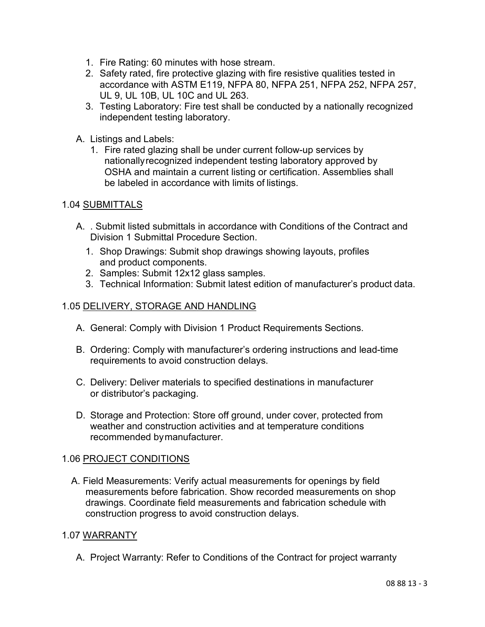- 1. Fire Rating: 60 minutes with hose stream.
- 2. Safety rated, fire protective glazing with fire resistive qualities tested in accordance with ASTM E119, NFPA 80, NFPA 251, NFPA 252, NFPA 257, UL 9, UL 10B, UL 10C and UL 263.
- 3. Testing Laboratory: Fire test shall be conducted by a nationally recognized independent testing laboratory.
- A. Listings and Labels:
	- 1. Fire rated glazing shall be under current follow-up services by nationallyrecognized independent testing laboratory approved by OSHA and maintain a current listing or certification. Assemblies shall be labeled in accordance with limits of listings.

### 1.04 SUBMITTALS

- A. . Submit listed submittals in accordance with Conditions of the Contract and Division 1 Submittal Procedure Section.
	- 1. Shop Drawings: Submit shop drawings showing layouts, profiles and product components.
	- 2. Samples: Submit 12x12 glass samples.
	- 3. Technical Information: Submit latest edition of manufacturer's product data.

### 1.05 DELIVERY, STORAGE AND HANDLING

- A. General: Comply with Division 1 Product Requirements Sections.
- B. Ordering: Comply with manufacturer's ordering instructions and lead-time requirements to avoid construction delays.
- C. Delivery: Deliver materials to specified destinations in manufacturer or distributor's packaging.
- D. Storage and Protection: Store off ground, under cover, protected from weather and construction activities and at temperature conditions recommended bymanufacturer.

#### 1.06 PROJECT CONDITIONS

A. Field Measurements: Verify actual measurements for openings by field measurements before fabrication. Show recorded measurements on shop drawings. Coordinate field measurements and fabrication schedule with construction progress to avoid construction delays.

#### 1.07 WARRANTY

A. Project Warranty: Refer to Conditions of the Contract for project warranty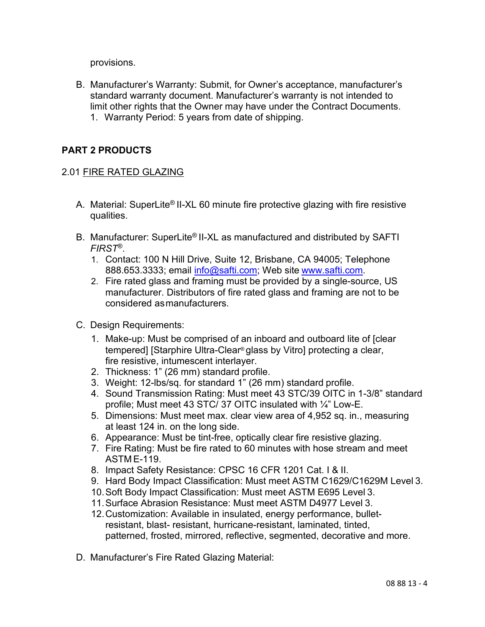provisions.

B. Manufacturer's Warranty: Submit, for Owner's acceptance, manufacturer's standard warranty document. Manufacturer's warranty is not intended to limit other rights that the Owner may have under the Contract Documents. 1. Warranty Period: 5 years from date of shipping.

## **PART 2 PRODUCTS**

### 2.01 FIRE RATED GLAZING

- A. Material: SuperLite® II-XL 60 minute fire protective glazing with fire resistive qualities.
- B. Manufacturer: SuperLite® II-XL as manufactured and distributed by SAFTI *FIRST*®.
	- 1. Contact: 100 N Hill Drive, Suite 12, Brisbane, CA 94005; Telephone 888.653.3333; email [info@safti.com;](mailto:info@safti.com) Web site [www.safti.com.](http://www.safti.com/)
	- 2. Fire rated glass and framing must be provided by a single-source, US manufacturer. Distributors of fire rated glass and framing are not to be considered asmanufacturers.
- C. Design Requirements:
	- 1. Make-up: Must be comprised of an inboard and outboard lite of [clear tempered] [Starphire Ultra-Clear® glass by Vitro] protecting a clear, fire resistive, intumescent interlayer.
	- 2. Thickness: 1" (26 mm) standard profile.
	- 3. Weight: 12-lbs/sq. for standard 1" (26 mm) standard profile.
	- 4. Sound Transmission Rating: Must meet 43 STC/39 OITC in 1-3/8" standard profile; Must meet 43 STC/ 37 OITC insulated with ¼" Low-E.
	- 5. Dimensions: Must meet max. clear view area of 4,952 sq. in., measuring at least 124 in. on the long side.
	- 6. Appearance: Must be tint-free, optically clear fire resistive glazing.
	- 7. Fire Rating: Must be fire rated to 60 minutes with hose stream and meet ASTM E-119.
	- 8. Impact Safety Resistance: CPSC 16 CFR 1201 Cat. I & II.
	- 9. Hard Body Impact Classification: Must meet ASTM C1629/C1629M Level 3.
	- 10.Soft Body Impact Classification: Must meet ASTM E695 Level 3.
	- 11.Surface Abrasion Resistance: Must meet ASTM D4977 Level 3.
	- 12.Customization: Available in insulated, energy performance, bulletresistant, blast- resistant, hurricane-resistant, laminated, tinted, patterned, frosted, mirrored, reflective, segmented, decorative and more.
- D. Manufacturer's Fire Rated Glazing Material: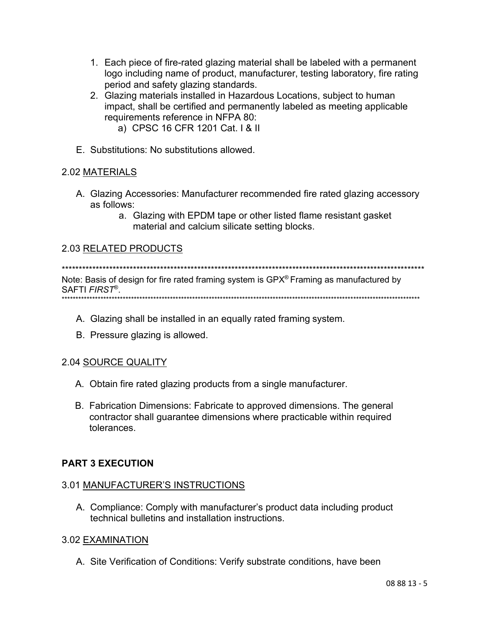- 1. Each piece of fire-rated glazing material shall be labeled with a permanent logo including name of product, manufacturer, testing laboratory, fire rating period and safety glazing standards.
- 2. Glazing materials installed in Hazardous Locations, subject to human impact, shall be certified and permanently labeled as meeting applicable requirements reference in NFPA 80:
	- a) CPSC 16 CFR 1201 Cat. I & II
- E. Substitutions: No substitutions allowed.

### 2.02 MATERIALS

- A. Glazing Accessories: Manufacturer recommended fire rated glazing accessory as follows:
	- a. Glazing with EPDM tape or other listed flame resistant gasket material and calcium silicate setting blocks.

## 2.03 RELATED PRODUCTS

Note: Basis of design for fire rated framing system is GPX® Framing as manufactured by SAFTI FIRST®. 

- A. Glazing shall be installed in an equally rated framing system.
- B. Pressure glazing is allowed.

### 2.04 SOURCE QUALITY

- A. Obtain fire rated glazing products from a single manufacturer.
- B. Fabrication Dimensions: Fabricate to approved dimensions. The general contractor shall guarantee dimensions where practicable within required tolerances.

### **PART 3 EXECUTION**

### 3.01 MANUFACTURER'S INSTRUCTIONS

A. Compliance: Comply with manufacturer's product data including product technical bulletins and installation instructions.

#### 3.02 EXAMINATION

A. Site Verification of Conditions: Verify substrate conditions, have been